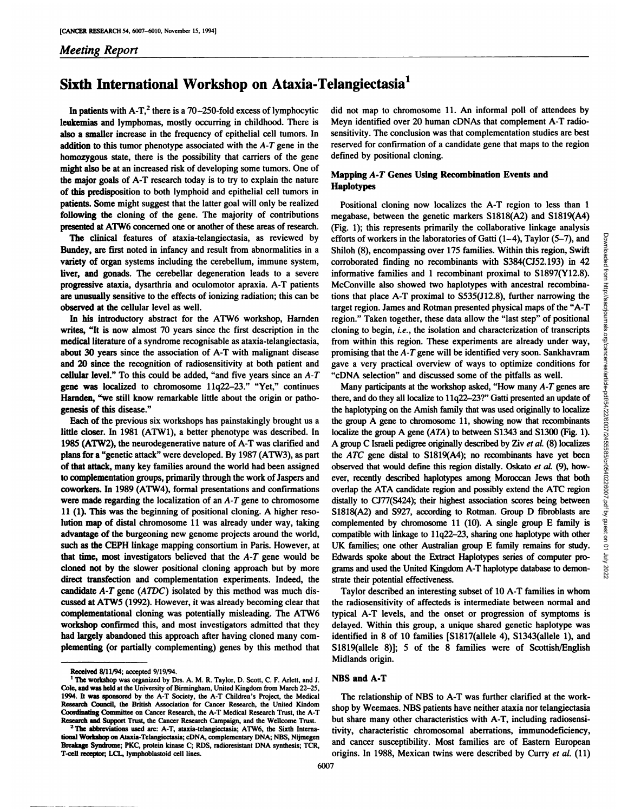# *Meeting Report*

# **Sixth International Workshop on Ataxia-Telangiectasia1**

**In patients** with A-T,<sup>2</sup> there is a 70–250-fold excess of lymphocytic leukemias and lymphomas, mostly occurring in childhood. There is **also a smaller increase in the frequency of epithelial cell tumors. In** addition to this tumor phenotype associated with the  $A - T$  gene in the homozygous state, there is the possibility that carriers of the gene might also be at an increased risk of developing some tumors. One of **the major goals of A-T research today is to try to explain the nature of this predisposition to both lymphoid and epithelial cell tumors in patients. Some might suggest that the latter goal will only be realized** following the cloning of the gene. The majority of contributions **presented at ATW6 concerned one or another of these areas of research.**

**The clinical features of ataxia-telangiectasia, as reviewed by** Bundey, are first noted in infancy and result from abnormalities in a variety of organ systems including the cerebellum, immune system, **liver, and gonads. The cerebellar degeneration leads to a severe** progressive ataxia, dysarthria and oculomotor apraxia. A-T patients are unusually sensitive to the effects of ionizing radiation; this can be observed at the cellular level as well.

**In his introductory abstract for the ATW6 workshop, Hamden** writes, "It is now almost 70 years since the first description in the medical literature of a syndrome recognisable as ataxia-telangiectasia, about 30 years since the association of A-T with malignant disease and 20 since the recognition of radiosensitivity at both patient and cellular level." To this could be added, "and five years since an  $A-T$ **gene was localized to chromosome 11q22—23.― "Yet,― continues** Harnden, "we still know remarkable little about the origin or pathogenesis of this disease."

Each of the previous six workshops has painstakingly brought us a little closer. In 1981 (ATW1), a better phenotype was described. In 1985 (ATW2), the neurodegenerative nature of A-T was clarified and plans for a "genetic attack" were developed. By 1987 (ATW3), as part **of that attack, many key families around the world had been assigned to complementation groups, primarily through the work ofJaspers and** coworkers. In 1989 (ATW4), formal presentations and confirmations were made regarding the localization of an A-T gene to chromosome **11 (1). This was the beginning of positional cloning. A higher reso** lution map of distal chromosome 11 was already under way, taking advantage of the burgeoning new genome projects around the world, **such asthe CEPH linkage mapping consortium in Paris. However, at** that time, most investigators believed that the  $A - T$  gene would be cloned not by the slower positional cloning approach but by more direct transfection and complementation experiments. Indeed, the candidate  $A - T$  gene  $(ATDC)$  isolated by this method was much discussed at ATW5 (1992). However, it was already becoming clear that complementational cloning was potentially misleading. The ATW6 workshop confirmed this, and most investigators admitted that they had largely abandoned this approach after having cloned many com plementing (or partially complementing) genes by this method that did not map to chromosome 11. An informal poll of attendees by **Meyn identified over 20 human cDNAs that complement A-T radio** sensitivity. The conclusion was that complementation studies are best reserved for confirmation of a candidate gene that maps to the region **defined by positional cloning.**

# Mapping A-T Genes Using Recombination Events and Haplotypes

**Positional cloning now localizes the A-T region to less than 1 megabase, between the genetic markers S1818(A2) and S1819(A4)** (Fig. 1); this represents primarily the collaborative linkage analysis **Shiloh (8), encompassing over 175 families. Within this region, Swift** corroborated finding no recombinants with S384(CJ52.193) in 42 **informative families and 1 recombinant proximal to 51897(Y12.8).** McConville also showed two haplotypes with ancestral recombina **tions that place A-T proximal to S535(J12.8), further narrowing the target region. James and Rotman presented physical maps of the "A-T** region." Taken together, these data allow the "last step" of positional **cloning to begin, i.e., the isolation and characterization of transcripts from within this region. These experiments are already under way, promising that the A-T gene will be identified very soon. Sankhavram gave a very practical overview of ways to optimize conditions for "cDNAselection―and discussed some of the pitfalls as well.**

efforts of workers in the laboratories of Gatti  $(1-4)$ , Taylor  $(5-7)$ , and<br>Shiloh (8), aecompassing over 175 families. Within this region, Swith<br>corroborated finding no recombinants with S384(CJS2.193) in 42<br>informative **Many** participants at the workshop asked, "How many A-T genes are **there, and do they all localize to 11q22—23?― Gattipresented an updateof** the haplotyping on the Amish family that was used originally to localize **the group A gene to chromosome 11, showing now that recombinants** localize the group A gene (ATA) to between 51343 and S1300 (Fig. 1). **A group C Israeli pedigree originally described by Ziv et aL (8) localizes** the ATC gene distal to S1819(A4); no recombinants have yet been observed that would define this region distally. Oskato et al. (9), how **ever, recently described haplotypes among Moroccan Jews that both** overlap the ATA candidate region and possibly extend the ATC region distally to CJ77(5424); their highest association scores being between 51818(A2) and 5927, according to Rotman. Group D fibroblasts are complemented by chromosome 11 (10). A single group E family is compatible with linkage to 11q22-23, sharing one haplotype with other UK families; one other Australian group E family remains for study. Edwards spoke about the Extract Haplotypes series of computer pro grams and used the United Kingdom A-T haplotype database to demonstrate their potential effectiveness.

**Taylor described an interesting subset of 10 A-T families in whom the radiosensitivity of affecteds is intermediate between normal and** typical A-T levels, and the onset or progression of symptoms is **delayed. Within this group, a unique shared genetic haplotype was identified in 8 of 10 families [S1817(allele 4), 51343(allele 1), and S1819(allele 8)]; 5 of the 8 families were of Scottish/English** Midlands origin.

## NBS and A-T

**The relationship of NBS to A-T wasfurther clarified at the work** shop by Weemaes. NBS patients have neither ataxia nor telangiectasia **but share many other characteristics with A-T,including radiosensi** tivity, characteristic chromosomal aberrations, immunodeficiency, **and cancer susceptibility. Most families are of Eastern European** origins. In 1988, Mexican twins were described by Curry et al. (11)

Received 8/11/94; accepted 9/19/94.

**I The workshop was organized by Drs. A. M. R. Taylor, D. Scott, C. F. Arbett, and J.** Cole, and was held at the University of Birmingham, United Kingdom from March 22-25, 1994. It was sponsored by the A-T Society, the A-T Children's Project, the Medical earch Council, the British Association for Cancer Research, the United Kindom Coordinating Commiftee on Cancer Research, the A-T Medical Research Trust, the A-T Research and Support Trust, the Cancer Research Campaign, and the Wellcome Trust.

<sup>&</sup>lt;sup>2</sup> The abbreviations used are: A-T, ataxia-telangiectasia; ATW6, the Sixth International Workshop on Ataxia-Telangiectasia; cDNA, complementary DNA; NBS, Nijmegen Breakage Syndrome; PKC, protein kinase C; RDS, radioresistant DNA synthesis; TCR, T-cell receptor; LCL, lymphoblastoid cell lines.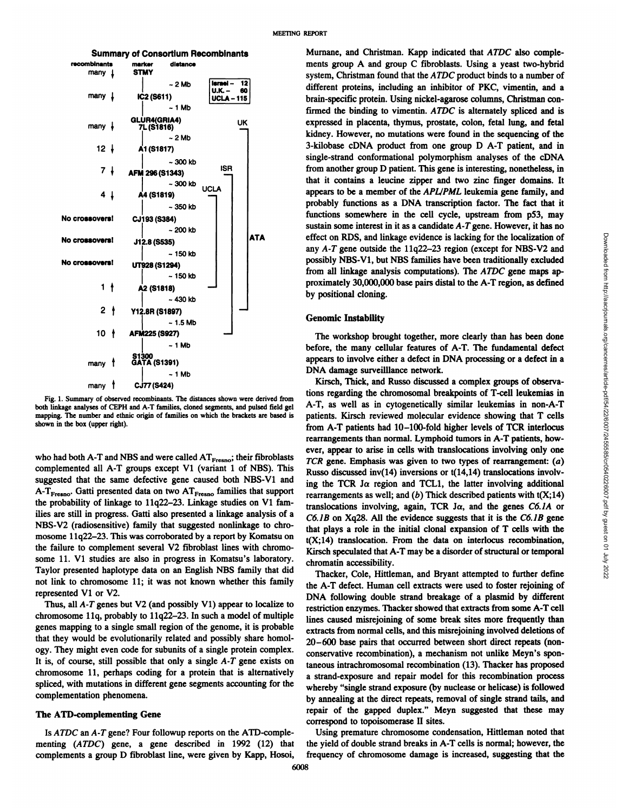

Fig. 1. Summary of observed recombinants. The distances shown were derived from both linkage analyses of CEPH and A-T families, cloned segments, and pulsed field gel mapping. The number and ethnic origin of families on which the brackets are based is shown in the box (upper right).

**who** had both A-T and NBS and were called  $AT_{Fresno}$ ; their fibroblasts **complemented all A-T groups except Vi (variant 1 ofNBS). This** suggested that the same defective gene caused both NBS-V1 and A-T<sub>Fresno</sub>. Gatti presented data on two AT<sub>Fresno</sub> families that support **the** probability of linkage to 11q22-23. Linkage studies on V1 families are still in progress. Gatti also presented a linkage analysis of a NBS-V2 (radiosensitive) family that suggested nonlinkage to chro **mosome 11q22—23.This was corroborated by a report by Komatsu on the failure to complement several V2 fibroblast lines with chromo some 11. Vi studies are also in progress in Komatsu's laboratory. Taylor presented haplotype data on an English NBS family that did not link to chromosome 11; it was not known whether this family** represented Vi or V2.

**Thus, all A-T genes but V2 (and possibly Vi) appear to localize to** chromosome llq, probably to 11q22—23.In such a model of multiple genes mapping to a single small region of the genome, it is probable that they would be evolutionarily related and possibly share homol **ogy. They might even code for subunits of a single protein complex. It is, of course, still possible that only a single A-T gene exists on chromosome 11, perhaps coding for a protein that is alternatively spliced, with mutations in different gene segments accounting for the complementation phenomena.**

#### The ATD-complementing Gene

**Is ATDC an A-T gene? Four followup reports on the ATD-comple** menting (ATDC) gene, a gene described in 1992 (12) that **complements a group D fibroblast line, were given by Kapp, Hosoi,**

Murnane, and Christman. Kapp indicated that ATDC also comple ments group A and group C fibroblasts. Using a yeast two-hybrid system, Christman found that the ATDC product binds to a number of **different proteins, including an inhibitor of PKC, vimentin, and a** brain-specific protein. Using nickel-agarose columns, Christman confirmed the binding to vimentin. ATDC is alternately spliced and is expressed in placenta, thymus, prostate, colon, fetal lung, and fetal kidney. However, no mutations were found in the sequencing of the 3-kilobase cDNA product from one group D A-T patient, and in single-strand conformational polymorphism analyses of the cDNA **from another group D patient. This gene is interesting, nonetheless, in** that it contains a leucine zipper and two zinc finger domains. It appears to be a member of the APL/PML leukemia gene family, and probably functions as a DNA transcription factor. The fact that it functions somewhere in the cell cycle, upstream from p53, may sustain some interest in it as a candidate A-T gene. However, it has no **effect on RDS, and linkage evidence is lacking for the localization of** possibly NBS-V1, but NBS families have been traditionally excluded from all linkage analysis computations). The ATDC gene maps ap proximately 30,000,000 base pairs distal to the A-T region, as defined by positional cloning.

### Genomic Instability

The workshop brought together, more clearly than has been done **before, the many cellular features of A-T. The fundamental defect** appears to involve either a defect in DNA processing or a defect in a DNA damage surveillance network.

effect on RDS, and linkage evidence is lacking for the localization of<br>nysisly possibly NBS-V1, but NBS families have been traditionally excluded<br>from all linkage analysis computations). The *ATDC* gene maps ap-<br>proximate Kirsch, Thick, and Russo discussed a complex groups of observa **tions regarding the chromosomal breakpoints of T-cell leukemias in** A-T, as well as in cytogenetically similar leukemias in non-A-T **patients. Kirsch reviewed molecular evidence showing that T cells** from A-T patients had 10-100-fold higher levels of TCR interlocus rearrangements than normal. Lymphoid tumors in A-T patients, how ever, appear to arise in cells with translocations involving only one *TCR gene. Emphasis was given to two types of rearrangement: (a)* Russo discussed inv(14) inversions or t(14,14) translocations involv  $\text{ing the TCR}$   $\text{J}\alpha$  region and TCL1, the latter involving additional rearrangements as well; and  $(b)$  Thick described patients with  $t(X;14)$ translocations involving, again, TCR J $\alpha$ , and the genes C6.1A or *C6.JB on Xq28. All the evidence suggests that it is the C6.JB gene* that plays a role in the initial clonal expansion of T cells with the t(X;14) translocation. From the data on interlocus recombination, Kirsch speculated that A-T may be a disorder of structural or temporal chromatin accessibility.

**Thacker, Cole, Hittleman, and Bryant attempted to further define the A-T defect. Human cell extracts were used to foster rejoining of** DNA following double strand breakage of a plasmid by different **restriction enzymes. Thacker showed that extracts from some A-T cell** lines caused misrejoining of some break sites more frequently than extracts from normal cells, and this misrejoining involved deletions of 20-600 base pairs that occurred between short direct repeats (nonconservative recombination), a mechanism not unlike Meyn's spon **taneous intrachromosomal recombination (13).Thacker has proposed** a strand-exposure and repair model for this recombination process whereby "single strand exposure (by nuclease or helicase) is followed by annealing at the direct repeats, removal of single strand tails, and repair of the gapped duplex." Meyn suggested that these may correspond to topoisomerase II sites.

**Using premature chromosome condensation, Hittleman noted that the yield of double strand breaks in A-T cells is normal; however, the frequency of chromosome damage is increased, suggesting that the**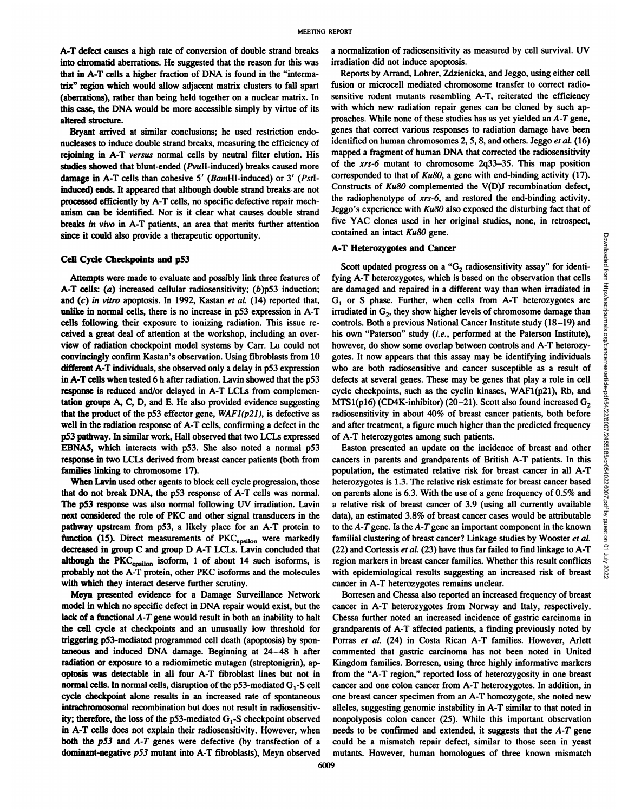**A-T defect causes a high rate of conversion of double strand breaks into chromatid aberrations. He suggested that the reason for this was that in A-T cells a higher fraction of DNA is found in the "interma** trix" region which would allow adjacent matrix clusters to fall apart (aberrations), rather than being held together on a nuclear matrix. In **this case, the DNA would be more accessible simply by virtue of its** altered structure.

Bryant arrived at similar conclusions; he used restriction endo nucleases to induce double strand breaks, measuring the efficiency of rejoining in A-T versus normal cells by neutral filter elution. His studies showed that blunt-ended (PvuII-induced) breaks caused more damage in A-T cells than cohesive 5' (BamHI-induced) or 3' (PstIinduced) ends. It appeared that although double strand breaks are not processed efficiently by A-T cells, no specific defective repair mech **anism canbe identified. Nor is it clear what causes double strand** breaks in vivo in A-T patients, an area that merits further attention since it could also provide a therapeutic opportunity.

#### Cell Cycle Checkpoints and p53

Attempts were made to evaluate and possibly link three features of **A-T cells: (a) increased cellular radiosensitivity; (b)p53 induction; and (c) in vitro apoptosis. In 1992, Kastan et al. (14) reported that,** unlike in normal cells, there is no increase in p53 expression in A-T cells following their exposure to ionizing radiation. This issue re ceived a great deal of attention at the workshop, including an over **view of radiation checkpoint model systems by Carr. Lu could not** convincingly confirm Kastan's observation. Using fibroblasts from 10 different A-T individuals, she observed only a delay in p53 expression **in A-T cells when tested 6 h after radiation. Lavin showed that the p53** response is reduced and/or delayed in A-T LCLs from complemen tation groups A, C, D, and E. He also provided evidence suggesting **that the product** of the  $p53$  effector gene,  $WAFI(p21)$ , is defective as **well in the radiation response of A-T cells, confirming a defect in the p53 pathway. In similar work, Hall observed that two LCLS expressed** EBNA5, which interacts with p53. She also noted a normal p53 response in two LCLs derived from breast cancer patients (both from families linking to chromosome 17).

When Lavin used other agents to block cell cycle progression, those **that do not break DNA, the p53 response of A-T cells was normal. The p53 response was also normal following UV irradiation. Lavin** next considered the role of PKC and other signal transducers in the **pathway upstream from p53, a likely place for an A-T protein to** function (15). Direct measurements of  $PKC_{\text{epsilon}}$  were markedly decreased in group C and group D A-T LCLS. Lavin concluded that although the PKC<sub>epsilon</sub> isoform, 1 of about 14 such isoforms, is probably not the A-T protein, other PKC isoforms and the molecules with which they interact deserve further scrutiny.

Meyn presented evidence for a Damage Surveillance Network model in which no specific defect in DNA repair would exist, but the **lack of a functional A-T gene would result in both an inability to halt the cell cycle at checkpoints and an unusually low threshold for** triggering p53-mediated programmed cell death (apoptosis) by spon taneous and induced DNA damage. Beginning at 24-48 h after radiation or exposure to a radiomimetic mutagen (streptonigrin), ap optosis was detectable in all four A-T fibroblast lines but not in normal cells. In normal cells, disruption of the  $p53$ -mediated  $G<sub>1</sub>$ -S cell cycle checkpoint alone results in an increased rate of spontaneous intracbromosomal recombination but does not result in radiosensitiv ity; therefore, the loss of the  $p53$ -mediated  $G_1$ -S checkpoint observed in A-T cells does not explain their radiosensitivity. However, when both the p53 and A-T genes were defective (by transfection of a dominant-negative p53 mutant into A-T fibroblasts), Meyn observed a normalization of radiosensitivity as measured by cell survival. UV irradiation did not induce apoptosis.

Reports by Arrand, Lohrer, Zdzienicka, and Jeggo, using either cell fusion or microcell mediated chromosome transfer to correct radio sensitive rodent mutants resembling A-T, reiterated the efficiency with which new radiation repair genes can be cloned by such ap **proaches. While none of these studies has as yet yielded an A-T gene,** genes that correct various responses to radiation damage have been identified on human chromosomes 2, 5, 8, and others. Jeggo et al. (16) **mapped a fragment of human DNA that corrected the radiosensitivity of the xrs-6 mutant to chromosome 2q33—35.This map position** corresponded to that of Ku80, a gene with end-binding activity (17). Constructs of Ku80 complemented the V(D)J recombination defect, **the radiophenotype of xrs-6, and restored the end-binding activity.** Jeggo's experience with  $Ku80$  also exposed the disturbing fact that of **five YAC clones used in her original studies, none, in retrospect, contained an intact Ku80 gene.**

## **A-T Heterozygotes and Cancer**

**Scott updated and CACC one is the convergence of**  $G_2$  **<b>radiosensitivity assay**<sup>*n*</sup> for identing  $\overrightarrow{AB}$  and  $\overrightarrow{AB}$  and  $\overrightarrow{AB}$  and  $\overrightarrow{AB}$  and  $\overrightarrow{AB}$  and  $\overrightarrow{AB}$  and  $\overrightarrow{AB}$  and  $\overrightarrow{AB}$  and  $\overrightarrow{AB}$  and **fying A-T heterozygotes, which is based on the observation that cells are damaged and repaired in a different way than when irradiated in 01 or S phase. Further, when cells from A-T heterozygotes are** irradiated in  $G_2$ , they show higher levels of chromosome damage than **controls. Both a previous National Cancer Institute study (18—19)and** his own "Paterson" study (i.e., performed at the Paterson Institute), **however, do show some overlap between controls and A-T heterozy gotes. It now appears that this assay may be identifying individuals who are both radiosensitive and cancer susceptible as a result of defects at several genes. These may be genes that play a role in cell cycle checkpoints, such asthe cyclin kinases, WAF1(p21), Rb, and** MTS1(p16) (CD4K-inhibitor) (20–21). Scott also found increased  $G_2$ **radiosensitivity in about 40% of breast cancer patients, both before and after treatment, a figure much higher than the predicted frequency of A-T heterozygotes among such patients.**

Easton presented an update on the incidence of breast and other **cancers in parents and grandparents of British A-T patients. In this population, the estimated relative risk for breast cancer in all A-T heterozygotes is 1.3. The relative risk estimate for breast cancer based on** parents alone is 6.3. With the use of a gene frequency of 0.5% and a relative risk of breast cancer of 3.9 (using all currently available **data), an estimated 3.8% of breast cancer cases would be attributable to the A-Tgene. Is the A-Tgene an important component in the known familial clustering** of breast cancer? Linkage studies by Wooster *et al.*  $\frac{6}{3}$ <br>(22) and Cortessis *et al.* (23) have thus far failed to find linkage to A-T (22) and Cortessis *et al.* (23) have thus far failed to find linkage to A-T and region markers in breast cancer families. Whether this result conflicts region markers in breast cancer families. Whether this result conflicts with epidemiological results suggesting an increased risk of breast **with epidemiological results suggesting an increased risk of breast cancer in A-T heterozygotes remains unclear.**

Borresen and Chessa also reported an increased frequency of breast cancer in A-T heterozygotes from Norway and Italy, respectively. Chessa further noted an increased incidence of gastric carcinoma in grandparents of A-T affected patients, a finding previously noted by Porras et al. (24) in Costa Rican A-T families. However, Arlett **commented that gastric carcinoma has not been noted in United** Kingdom families. Borresen, using three highly informative markers **from** the "A-T region," reported loss of heterozygosity in one breast cancer and one colon cancer from A-T heterozygotes. In addition, in **one breast cancer specimen from an A-T homozygote, she noted new alleles, suggesting genomic instability in A-T similar to that noted in** nonpolyposis colon cancer (25). While this important observation **needs to be confirmed and extended, it suggests that the A-T gene could be a mismatch repair defect, similar to those seen in yeast mutants. However, human homologues of three known mismatch**